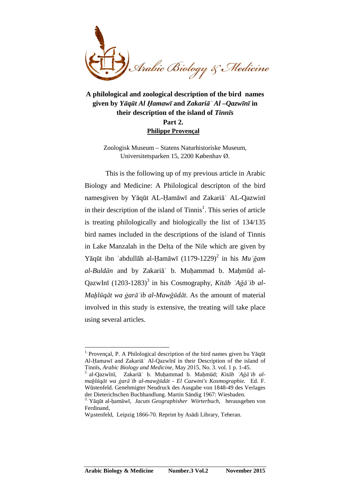

**A philological and zoological description of the bird names given by** *Yāqūt Al Ḥamawī* **and** *Zakariāʾ Al –Qazwīnī* **in their description of the island of** *Tinnīs*  **Part 2. Philippe Provençal**

Zoologisk Museum – Statens Naturhistoriske Museum, Universitetsparken 15, 2200 Københav Ø.

This is the following up of my previous article in Arabic Biology and Medicine: A Philological descripton of the bird namesgiven by Yāqūt AL-Ḥamāwī and Zakariāʾ AL-Qazwinī in their description of the island of Tinnis<sup>1</sup>. This series of article is treating philologically and biologically the list of 134/135 bird names included in the descriptions of the island of Tinnis in Lake Manzalah in the Delta of the Nile which are given by Yāqūt ibn ʿabdullāh al-Ḥamāwī (1179-1229)<sup>2</sup> in his Mu ʿğam *al-Buldān* and by Zakariāʾ b. Muḥammad b. Maḥmūd al-QazwInī (1203-1283)<sup>3</sup> in his Cosmography, *Kitāb `Ağā`ib al-Maẖlūqāt wa ġarāʾib al-Mawğūdāt*. As the amount of material involved in this study is extensive, the treating will take place using several articles.

2. al-Qazwīnī, Zakariāʾ b. Muḥammad b. Maḥmūd; *Kitāb ʿAğāʾib almaẖlūqāt wa ġarāʾib al-mawğūdāt - El Cazwini's Kosmographie.* Ed. F. Wūstenfeld. Genehmigter Neudruck des Ausgabe von 1848-49 des Verlages der Dieterichschen Buchhandlung. Martin Sändig 1967: Wiesbaden.

<sup>&</sup>lt;sup>1.</sup> Provençal, P. A Philological description of the bird names given bu Yāqūt Al-Ḥamawī and Zakariāʾ Al-Qazwīnī in their Description of the island of Tinnīs, *Arabic Biology and Medicine,* May 2015, No. 3. vol. 1 p. 1-45.

<sup>3.</sup> Yāqūt al-ḥamāwī, *Jacuts Geographisher Wörterbuch,* herausgeben von Ferdinand,

Wµstenfeld, Leipzig 1866-70. Reprint by Asādi Library, Teheran.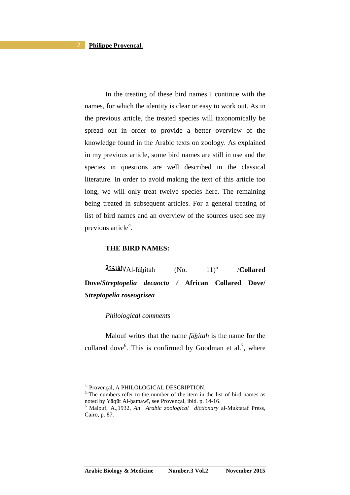In the treating of these bird names I continue with the names, for which the identity is clear or easy to work out. As in the previous article, the treated species will taxonomically be spread out in order to provide a better overview of the knowledge found in the Arabic texts on zoology. As explained in my previous article, some bird names are still in use and the species in questions are well described in the classical literature. In order to avoid making the text of this article too long, we will only treat twelve species here. The remaining being treated in subsequent articles. For a general treating of list of bird names and an overview of the sources used see my previous article<sup>4</sup>.

# **THE BIRD NAMES:**

**-ا/**Al-fāẖitah (No. 11)<sup>5</sup> /**Collared Dove/***Streptopelia decaocto /* **African Collared Dove/**  *Streptopelia roseogrisea* 

## *Philological comments*

Malouf writes that the name *fāhitah* is the name for the collared dove<sup>6</sup>. This is confirmed by Goodman et al.<sup>7</sup>, where

<sup>4.</sup> Provençal, A PHILOLOGICAL DESCRIPTION.

 $<sup>5</sup>$ . The numbers refer to the number of the item in the list of bird names as</sup> noted by Yāqūt Al-ḥamawī, see Provençal, ibid. p. 14-16.

<sup>6.</sup> Malouf, A.,1932, *An Arabic zoological dictionary* al-Muktataf Press, Cairo, p. 87.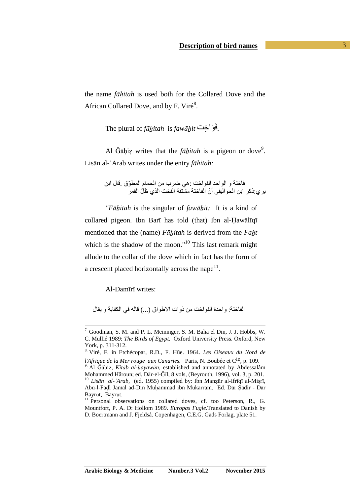the name *fāẖitah* is used both for the Collared Dove and the African Collared Dove, and by F. Viré<sup>8</sup>.

The plural of *fāẖitah* is *fawāẖit* ا ِ َ َ.

Al Ğāḥiẓ writes that the *fāṯitah* is a pigeon or dove<sup>9</sup>. Lisān al-ʿArab writes under the entry *fāẖitah:*

> فاختة و الواحد الفواخت :هي ضرب من الحمام المطوّق .قال ابن بر ي:ذكر ابن الحو اليقي أنّ الفاختة مشتقة الفخت الذي ظلّ القمر

*"Fāẖitah* is the singular of *fawāẖit:* It is a kind of collared pigeon. Ibn Barī has told (that) Ibn al-Ḥawālīqī mentioned that the (name) *Fāẖitah* is derived from the *Faẖt*  which is the shadow of the moon."<sup>10</sup> This last remark might allude to the collar of the dove which in fact has the form of a crescent placed horizontally across the nape $11$ .

Al-Damīrī writes:

 $\overline{a}$ 

الفاختة: واحدة الفواخت من ذوات الاطواق (...) قاله في الكفاية و يقال

<sup>7.</sup> Goodman, S. M. and P. L. Meininger, S. M. Baha el Din, J. J. Hobbs, W. C. Mullié 1989: *The Birds of Egypt.* Oxford University Press. Oxford, New York, p. 311-312.

<sup>8.</sup> Viré, F. in Etchécopar, R.D., F. Hūe. 1964. *Les Oiseaux du Nord de* 

*l'Afrique de la Mer rouge aux Canaries.* Paris, N. Boubée et Cie, p. 109.

<sup>9.</sup> Al Ğāḥiẓ, *Kitāb al-ḥayawān*, established and annotated by Abdessalâm Mohammed Hâroun; ed. Dār-el-Ğīl, 8 vols, (Beyrouth, 1996), vol. 3, p. 201. 10. *Lisān al-ʿArab,* (ed. 1955) compiled by: Ibn Manẓūr al-Ifrīqī al-Miṣrī, Abū-l-Faḍl Jamāl ad-Dın Muḥammad ibn Mukarram. Ed. Dār Ṣādir - Dār Bayrūt, Bayrūt.

<sup>&</sup>lt;sup>11.</sup> Personal observations on collared doves, cf. too Peterson, R., G. Mountfort, P. A. D: Hollom 1989. *Europas Fugle.*Translated to Danish by D. Boertmann and J. Fjeldså. Copenhagen, C.E.G. Gads Forlag, plate 51.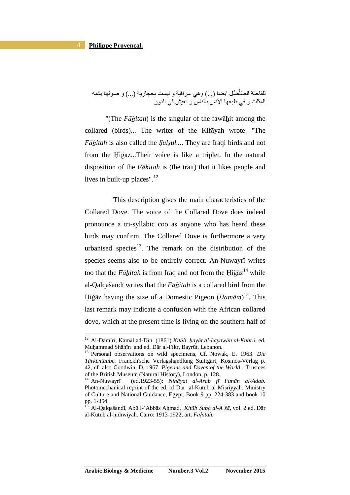$\overline{a}$ 

للفاختة الصُلْصُل ايضا (...) وهي عراقية و ليست بحجازية (...) و صوتها يشبه المثلث و في طبعها الإنس بالناس و تعبش في الدور

"(The *Fāḥitah*) is the singular of the fawāḥit among the collared (birds)... The writer of the Kifāyah wrote: "The *Fāẖitah* is also called the *Ṣulṣul..*.. They are Iraqi birds and not from the Ḥiğāz...Their voice is like a triplet. In the natural disposition of the *Fāẖitah* is (the trait) that it likes people and lives in built-up places". $12$ 

 This description gives the main characteristics of the Collared Dove. The voice of the Collared Dove does indeed pronounce a tri-syllabic coo as anyone who has heard these birds may confirm. The Collared Dove is furthermore a very urbanised species<sup>13</sup>. The remark on the distribution of the species seems also to be entirely correct. An-Nuwayrī writes too that the *Fāẖitah* is from Iraq and not from the Ḥiğāz <sup>14</sup> while al-Qalqašandī writes that the *Fāẖitah* is a collared bird from the Ḥiğāz having the size of a Domestic Pigeon (*Ḥamām*) <sup>15</sup>. This last remark may indicate a confusion with the African collared dove, which at the present time is living on the southern half of

<sup>12.</sup> Al-Damīrī, Kamāl ad-Dīn (1861) *Kitāb ḥayāt al-ḥayawān al-Kubrā,* ed. Muḥammad Shāhīn and ed. Dār al-Fikr, Bayrūt, Lebanon.

<sup>13.</sup> Personal observations on wild specimens, Cf. Nowak, E. 1963. *Die Tūrkentaube.* Franckh'sche Verlagshandlung Stuttgart, Kosmos-Verlag p. 42, cf. also Goodwin, D. 1967. *Pigeons and Doves of the World*. Trustees of the British Museum (Natural History), London, p. 128.<br><sup>14</sup>. An-Nuwayrī (ed.1923-55): *Nihāyat al-Arab fī* 

<sup>14.</sup> An-Nuwayrī (ed.1923-55): *Nihāyat al-Arab fī Funūn al-Adab.* Photomechanical reprint of the ed. of Dar al-Kutub al Misriyyah. Ministry of Culture and National Guidance, Egypt. Book 9 pp. 224-383 and book 10 pp. 1-354.

<sup>15.</sup> Al-Qalqašandī, Abū l-ʿAbbās Aḥmad, *Kitāb Ṣubḥ al-Aʿšā,* vol. 2 ed. Dār al-Kutub al-ẖidīwiyah. Cairo: 1913-1922, art. *Fāẖitah.*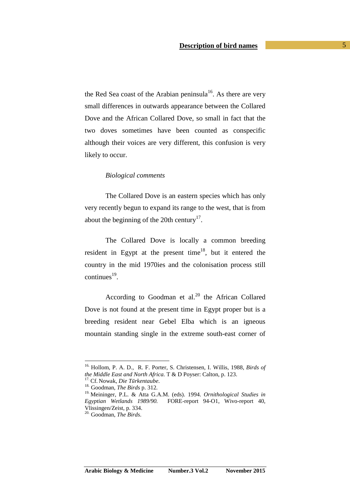the Red Sea coast of the Arabian peninsula<sup>16</sup>. As there are very small differences in outwards appearance between the Collared Dove and the African Collared Dove, so small in fact that the two doves sometimes have been counted as conspecific although their voices are very different, this confusion is very likely to occur.

### *Biological comments*

The Collared Dove is an eastern species which has only very recently begun to expand its range to the west, that is from about the beginning of the 20th century<sup>17</sup>.

The Collared Dove is locally a common breeding resident in Egypt at the present time<sup>18</sup>, but it entered the country in the mid 1970ies and the colonisation process still  $\text{continues}^{19}$ .

According to Goodman et al. $20$  the African Collared Dove is not found at the present time in Egypt proper but is a breeding resident near Gebel Elba which is an igneous mountain standing single in the extreme south-east corner of

<sup>16.</sup> Hollom, P. A. D., R. F. Porter, S. Christensen, I. Willis, 1988, *Birds of the Middle East and North Africa.* T & D Poyser: Calton, p. 123.

<sup>17.</sup> Cf. Nowak, *Die Tūrkentaube*.

<sup>18.</sup> Goodman, *The Birds* p. 312*.*

<sup>19.</sup> Meininger, P.L. & Atta G.A.M. (eds). 1994. *Ornithological Studies in Egyptian Wetlands 1989/90.* FORE-report 94-O1, Wivo-report 40, Vlissingen/Zeist, p. 334.

<sup>20.</sup> Goodman, *The Birds*.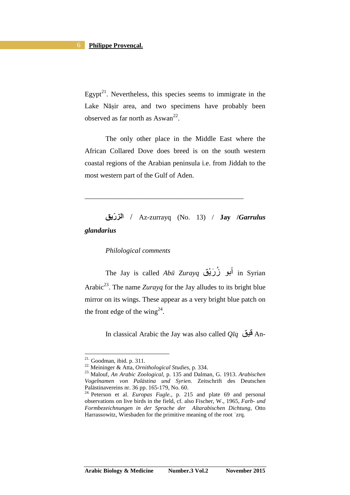Egypt<sup>21</sup>. Nevertheless, this species seems to immigrate in the Lake Nāṣir area, and two specimens have probably been observed as far north as  $\text{Assum}^{22}$ .

The only other place in the Middle East where the African Collared Dove does breed is on the south western coastal regions of the Arabian peninsula i.e. from Jiddah to the most western part of the Gulf of Aden.

 **را ّ** / Az-zurrayq (No. 13) / **Jay /***Garrulus glandarius* 

\_\_\_\_\_\_\_\_\_\_\_\_\_\_\_\_\_\_\_\_\_\_\_\_\_\_\_\_\_\_\_\_\_\_\_\_\_\_\_\_\_\_\_\_\_

# *Philological comments*

The Jay is called *Abū Zurayq* أبو زُرَيْق in Syrian Arabic<sup>23</sup>. The name *Zurayq* for the Jay alludes to its bright blue mirror on its wings. These appear as a very bright blue patch on the front edge of the wing<sup>24</sup>.

In classical Arabic the Jay was also called *Qīq* X.( An-

 $21.$  Goodman, ibid. p. 311.

<sup>22.</sup> Meininger & Atta, *Ornithological Studies*, p. 334.

<sup>23.</sup> Malouf, *An Arabic Zoological*, p. 135 and Dalman, G. 1913. *Arabischen Vogelnamen von Palästina und Syrien.* Zeitschrift des Deutschen Palästinavereins nr. 36 pp. 165-179, No. 60.

<sup>24.</sup> Peterson et al. *Europas Fugle.,* p. 215 and plate 69 and personal observations on live birds in the field, cf. also Fischer, W., 1965, *Farb- und Formbezeichnungen in der Sprache der Altarabischen Dichtung,* Otto Harrassowitz, Wiesbaden for the primitive meaning of the root ʾzrq.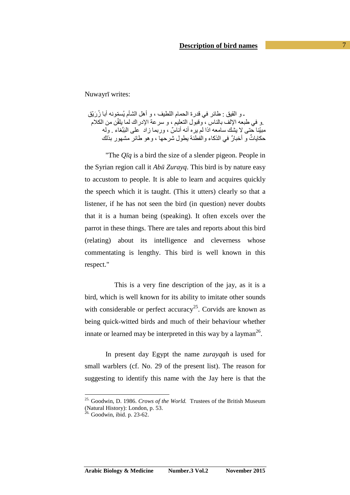Nuwayrī writes:

ـ و القيق : طائر في قدرة الـحمام اللطيف ، و أهل الشأم يُسمّونـه أبـا زُرَيْق و في طبعه الإلف بالناس ، وقبول النعليم ، و سرعة الإدراك لما يلقّن من الكلام. مبيّنا حتى لا يشك سامعه اذا لم يره أنه أناسٌ ، وربما زاد ً على النبَّغاء ً ولَّه حكاياتٌ و أخبارٌ في الذكاء و الْفَطْنة بِطول شر حها ، وهو طائر مشهور بذلك

"The *Qīq* is a bird the size of a slender pigeon. People in the Syrian region call it *Abū Zurayq*. This bird is by nature easy to accustom to people. It is able to learn and acquires quickly the speech which it is taught. (This it utters) clearly so that a listener, if he has not seen the bird (in question) never doubts that it is a human being (speaking). It often excels over the parrot in these things. There are tales and reports about this bird (relating) about its intelligence and cleverness whose commentating is lengthy. This bird is well known in this respect."

 This is a very fine description of the jay, as it is a bird, which is well known for its ability to imitate other sounds with considerable or perfect accuracy<sup>25</sup>. Corvids are known as being quick-witted birds and much of their behaviour whether innate or learned may be interpreted in this way by a layman<sup>26</sup>.

In present day Egypt the name *zurayqah* is used for small warblers (cf. No. 29 of the present list). The reason for suggesting to identify this name with the Jay here is that the

<sup>25.</sup> Goodwin, D. 1986. *Crows of the World.* Trustees of the British Museum (Natural History): London, p. 53.

 $26.$  Goodwin, ibid. p. 23-62.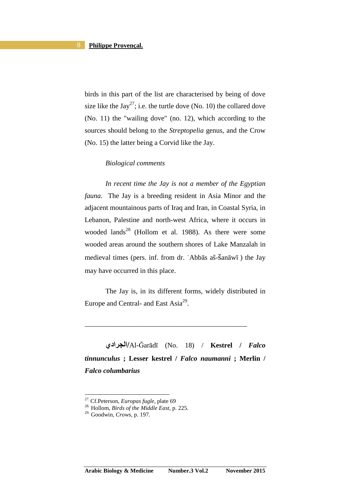birds in this part of the list are characterised by being of dove size like the Jay<sup>27</sup>; i.e. the turtle dove (No. 10) the collared dove (No. 11) the "wailing dove" (no. 12), which according to the sources should belong to the *Streptopelia* genus, and the Crow (No. 15) the latter being a Corvid like the Jay.

### *Biological comments*

*In recent time the Jay is not a member of the Egyptian fauna.* The Jay is a breeding resident in Asia Minor and the adjacent mountainous parts of Iraq and Iran, in Coastal Syria, in Lebanon, Palestine and north-west Africa, where it occurs in wooded lands<sup>28</sup> (Hollom et al. 1988). As there were some wooded areas around the southern shores of Lake Manzalah in medieval times (pers. inf. from dr. ʿAbbās aš-šanāwī ) the Jay may have occurred in this place.

The Jay is, in its different forms, widely distributed in Europe and Central- and East  $Asia^{29}$ .

\_\_\_\_\_\_\_\_\_\_\_\_\_\_\_\_\_\_\_\_\_\_\_\_\_\_\_\_\_\_\_\_\_\_\_\_\_\_\_\_\_\_\_\_\_\_

**اديا/**Al-Ğarādī (No. 18) / **Kestrel /** *Falco tinnunculus* **; Lesser kestrel /** *Falco naumanni* **; Merlin /**  *Falco columbarius* 

<sup>27.</sup> Cf.Peterson, *Europas fugle,* plate 69

<sup>28.</sup> Hollom, *Birds of the Middle East,* p. 225*.*

<sup>29.</sup> Goodwin, *Crows,* p. 197*.*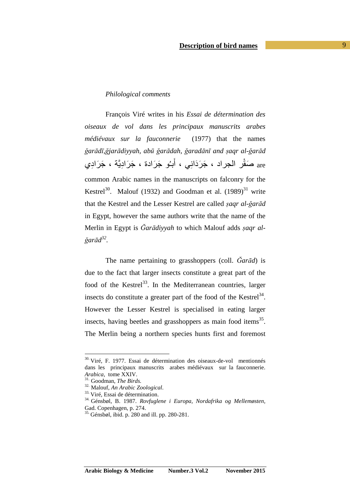# *Philological comments*

François Viré writes in his *Essai de détermination des oiseaux de vol dans les principaux manuscrits arabes médiévaux sur la fauconnerie* (1977) that the names ğarādī, ğjarādiyyah, abū ğarādah, ğaradānī and şaqr al-ğarād are صَقْرِ الجراد ، جَرَدَانِي ، أَبـُو جَرَادة ، جَرَادِيَّة ، جَرَادِي common Arabic names in the manuscripts on falconry for the Kestrel<sup>30</sup>. Malouf (1932) and Goodman et al.  $(1989)^{31}$  write that the Kestrel and the Lesser Kestrel are called *ṣaqr al-ğarād* in Egypt, however the same authors write that the name of the Merlin in Egypt is *Ğarādiyyah* to which Malouf adds *ṣaqr alğarād 32 .*

The name pertaining to grasshoppers (coll. *Ğarād*) is due to the fact that larger insects constitute a great part of the food of the Kestrel<sup>33</sup>. In the Mediterranean countries, larger insects do constitute a greater part of the food of the Kestrel<sup>34</sup>. However the Lesser Kestrel is specialised in eating larger insects, having beetles and grasshoppers as main food items<sup>35</sup>. The Merlin being a northern species hunts first and foremost

<sup>&</sup>lt;sup>30.</sup> Viré, F. 1977. Essai de détermination des oiseaux-de-vol mentionnés dans les principaux manuscrits arabes médiévaux sur la fauconnerie. *Arabica,* tome XXIV.

<sup>31.</sup> Goodman, *The Birds.*

<sup>32.</sup> Malouf, *An Arabic Zoological*.

<sup>33.</sup> Viré, Essai de détermination.

<sup>34.</sup> Génsbøl, B. 1987. *Rovfuglene i Europa, Nordafrika og Mellemøsten,* Gad. Copenhagen, p. 274.

<sup>35.</sup> Génsbøl, ibid. p. 280 and ill. pp. 280-281.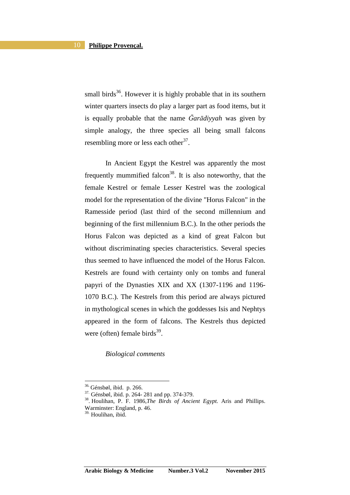small birds<sup>36</sup>. However it is highly probable that in its southern winter quarters insects do play a larger part as food items, but it is equally probable that the name *Ğarādiyyah* was given by simple analogy, the three species all being small falcons resembling more or less each other<sup>37</sup>.

In Ancient Egypt the Kestrel was apparently the most frequently mummified falcon<sup>38</sup>. It is also noteworthy, that the female Kestrel or female Lesser Kestrel was the zoological model for the representation of the divine "Horus Falcon" in the Ramesside period (last third of the second millennium and beginning of the first millennium B.C.). In the other periods the Horus Falcon was depicted as a kind of great Falcon but without discriminating species characteristics. Several species thus seemed to have influenced the model of the Horus Falcon. Kestrels are found with certainty only on tombs and funeral papyri of the Dynasties XIX and XX (1307-1196 and 1196- 1070 B.C.). The Kestrels from this period are always pictured in mythological scenes in which the goddesses Isis and Nephtys appeared in the form of falcons. The Kestrels thus depicted were (often) female birds $39$ .

*Biological comments* 

<sup>36.</sup> Génsbøl, ibid. p. 266.

<sup>37.</sup> Génsbøl, ibid. p. 264- 281 and pp. 374-379.

<sup>38</sup>. Houlihan, P. F. 1986,*The Birds of Ancient Egypt.* Aris and Phillips. Warminster: England, p. 46.

 $39.$  Houlihan, ibid.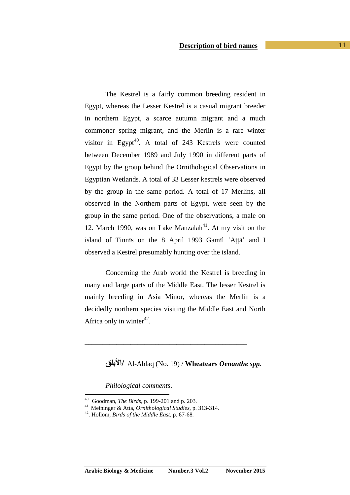The Kestrel is a fairly common breeding resident in Egypt, whereas the Lesser Kestrel is a casual migrant breeder in northern Egypt, a scarce autumn migrant and a much commoner spring migrant, and the Merlin is a rare winter visitor in Egypt<sup>40</sup>. A total of 243 Kestrels were counted between December 1989 and July 1990 in different parts of Egypt by the group behind the Ornithological Observations in Egyptian Wetlands. A total of 33 Lesser kestrels were observed by the group in the same period. A total of 17 Merlins, all observed in the Northern parts of Egypt, were seen by the group in the same period. One of the observations, a male on 12. March 1990, was on Lake Manzalah<sup>41</sup>. At my visit on the island of Tinnīs on the 8 April 1993 Gamīl ʿAṭṭāʾ and I observed a Kestrel presumably hunting over the island.

Concerning the Arab world the Kestrel is breeding in many and large parts of the Middle East. The lesser Kestrel is mainly breeding in Asia Minor, whereas the Merlin is a decidedly northern species visiting the Middle East and North Africa only in winter $42$ .

\_\_\_\_\_\_\_\_\_\_\_\_\_\_\_\_\_\_\_\_\_\_\_\_\_\_\_\_\_\_\_\_\_\_\_\_\_\_\_\_\_\_\_\_\_\_

**ا/** Al-Ablaq (No. 19) / **Wheatears** *Oenanthe spp.*

*Philological comments*.

<sup>40.</sup> Goodman, *The Birds,* p. 199-201 and p. 203*.*

<sup>41.</sup> Meininger & Atta, *Ornithological Studies*, p. 313-314.

<sup>42</sup>. Hollom, *Birds of the Middle East,* p. 67-68*.*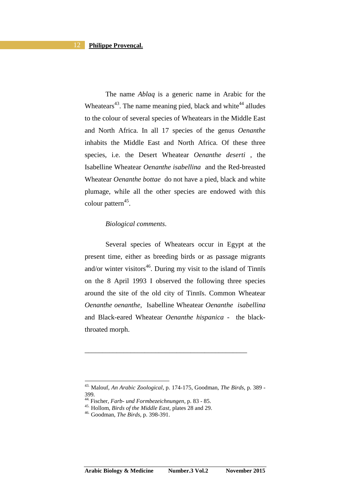The name *Ablaq* is a generic name in Arabic for the Wheatears<sup>43</sup>. The name meaning pied, black and white<sup>44</sup> alludes to the colour of several species of Wheatears in the Middle East and North Africa. In all 17 species of the genus *Oenanthe* inhabits the Middle East and North Africa. Of these three species, i.e. the Desert Wheatear *Oenanthe deserti* , the Isabelline Wheatear *Oenanthe isabellina* and the Red-breasted Wheatear *Oenanthe bottae* do not have a pied, black and white plumage, while all the other species are endowed with this colour pattern<sup>45</sup>.

# *Biological comments*.

Several species of Wheatears occur in Egypt at the present time, either as breeding birds or as passage migrants and/or winter visitors<sup>46</sup>. During my visit to the island of Tinn $\overline{\text{is}}$ on the 8 April 1993 I observed the following three species around the site of the old city of Tinnīs. Common Wheatear *Oenanthe oenanthe,* Isabelline Wheatear *Oenanthe isabellina*  and Black-eared Wheatear *Oenanthe hispanica -* the blackthroated morph.

\_\_\_\_\_\_\_\_\_\_\_\_\_\_\_\_\_\_\_\_\_\_\_\_\_\_\_\_\_\_\_\_\_\_\_\_\_\_\_\_\_\_\_\_\_\_

<sup>43.</sup> Malouf, *An Arabic Zoological*, p. 174-175, Goodman, *The Birds,* p. 389 - 399*.*

<sup>44.</sup> Fischer, *Farb- und Formbezeichnungen,* p. 83 - 85.

<sup>45.</sup> Hollom, *Birds of the Middle East,* plates 28 and 29.

<sup>46.</sup> Goodman, *The Birds,* p. 398-391.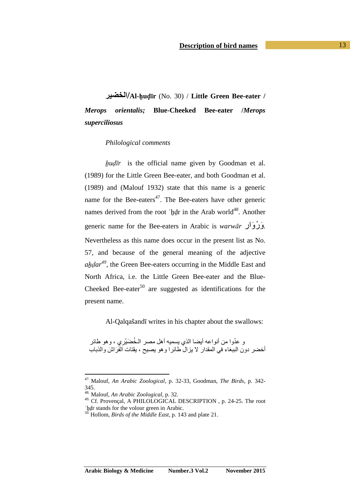# **ا/Al-ẖuḍīr** (No. 30) / **Little Green Bee-eater /**  *Merops orientalis;* **Blue-Cheeked Bee-eater /***Merops superciliosus*

#### *Philological comments*

*ẖuḍīr* is the official name given by Goodman et al. (1989) for the Little Green Bee-eater, and both Goodman et al. (1989) and (Malouf 1932) state that this name is a generic name for the Bee-eaters<sup>47</sup>. The Bee-eaters have other generic names derived from the root 'hdr in the Arab world<sup>48</sup>. Another generic name for the Bee-eaters in Arabic is *warwā<sup>r</sup>* وارَ رْ وَ . Nevertheless as this name does occur in the present list as No. 57, and because of the general meaning of the adjective *aẖḍar 49 ,* the Green Bee-eaters occurring in the Middle East and North Africa, i.e. the Little Green Bee-eater and the Blue-Cheeked Bee-eater<sup>50</sup> are suggested as identifications for the present name.

Al-Qalqašandī writes in his chapter about the swallows:

و عدّوا من أنواعه أيضـا الذي يسميه أهل مصـر الـخُضَيْرِيِ ، وهو طائر ا<br>ا أخضر دون الببغاء في المقدار لا يزال طائرا وهو يصيح ، يقتات الفَرَاشَ والذباب

<sup>47.</sup> Malouf, *An Arabic Zoological*, p. 32-33, Goodman, *The Birds,* p. 342- 345.

<sup>48.</sup> Malouf, *An Arabic Zoological*, p. 32.

<sup>49.</sup> Cf. Provençal, A PHILOLOGICAL DESCRIPTION, p. 24-25. The root 'hdr stands for the volour green in Arabic.

<sup>50.</sup> Hollom, *Birds of the Middle East,* p. 143 and plate 21.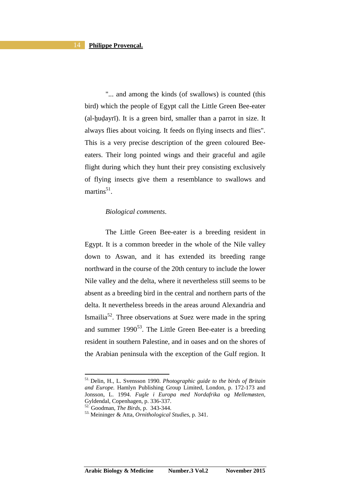"... and among the kinds (of swallows) is counted (this bird) which the people of Egypt call the Little Green Bee-eater (al-ẖuḍayrī). It is a green bird, smaller than a parrot in size. It always flies about voicing. It feeds on flying insects and flies". This is a very precise description of the green coloured Beeeaters. Their long pointed wings and their graceful and agile flight during which they hunt their prey consisting exclusively of flying insects give them a resemblance to swallows and martins $^{51}$ .

# *Biological comments*.

The Little Green Bee-eater is a breeding resident in Egypt. It is a common breeder in the whole of the Nile valley down to Aswan, and it has extended its breeding range northward in the course of the 20th century to include the lower Nile valley and the delta, where it nevertheless still seems to be absent as a breeding bird in the central and northern parts of the delta. It nevertheless breeds in the areas around Alexandria and Ismailia<sup>52</sup>. Three observations at Suez were made in the spring and summer  $1990^{53}$ . The Little Green Bee-eater is a breeding resident in southern Palestine, and in oases and on the shores of the Arabian peninsula with the exception of the Gulf region. It

<sup>51.</sup> Delin, H., L. Svensson 1990. *Photographic guide to the birds of Britain and Europe.* Hamlyn Publishing Group Limited, London, p. 172-173 and Jonsson, L. 1994. *Fugle i Europa med Nordafrika og Mellemøsten,*  Gyldendal, Copenhagen, p. 336-337.

<sup>52.</sup> Goodman, *The Birds,* p. 343-344.

<sup>53.</sup> Meininger & Atta, *Ornithological Studies*, p. 341.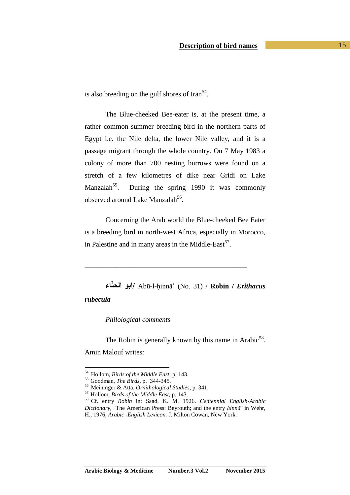is also breeding on the gulf shores of Iran $<sup>54</sup>$ .</sup>

The Blue-cheeked Bee-eater is, at the present time, a rather common summer breeding bird in the northern parts of Egypt i.e. the Nile delta, the lower Nile valley, and it is a passage migrant through the whole country. On 7 May 1983 a colony of more than 700 nesting burrows were found on a stretch of a few kilometres of dike near Gridi on Lake Manzalah<sup>55</sup>. During the spring 1990 it was commonly observed around Lake Manzalah<sup>56</sup>.

Concerning the Arab world the Blue-cheeked Bee Eater is a breeding bird in north-west Africa, especially in Morocco, in Palestine and in many areas in the Middle-East $57$ .

\_\_\_\_\_\_\_\_\_\_\_\_\_\_\_\_\_\_\_\_\_\_\_\_\_\_\_\_\_\_\_\_\_\_\_\_\_\_\_\_\_\_\_\_\_\_

**ءّا ا/** Abū-l-ḥinnāʾ (No. 31) / **Robin /** *Erithacus rubecula* 

*Philological comments*

The Robin is generally known by this name in Arabic<sup>58</sup>. Amin Malouf writes:

<sup>54.</sup> Hollom, *Birds of the Middle East,* p. 143.

<sup>55.</sup> Goodman, *The Birds,* p. 344-345.

<sup>56.</sup> Meininger & Atta, *Ornithological Studies*, p. 341.

<sup>57.</sup> Hollom, *Birds of the Middle East,* p. 143.

<sup>58.</sup> Cf. entry *Robin* in: Saad, K. M. 1926. *Centennial English-Arabic Dictionary,* The American Press: Beyrouth; and the entry *ḥinnāʾ* in Wehr, H., 1976, *Arabic -English Lexicon.* J. Milton Cowan, New York.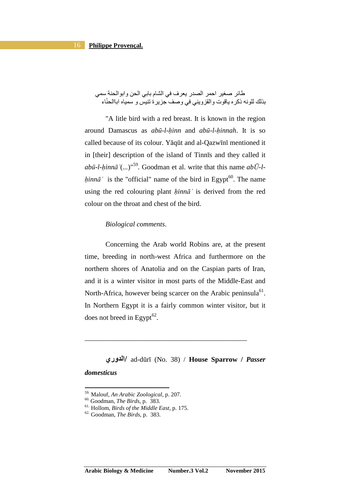# طائر صغير احمر الصدر يعرف في الشام بابي الحن وابوالحنة سمي بذلك للو نه ذكر ه باقو ت و القز و بنے في و صف جز بر ة تنبس و سمباه اباالحنّاء

"A litle bird with a red breast. It is known in the region around Damascus as *abū-l-ḥinn* and *abū-l-ḥinnah*. It is so called because of its colour. Yāqūt and al-Qazwīnī mentioned it in [their] description of the island of Tinnīs and they called it *abū-l-ḥinnāʾ*(*...*)"<sup>59</sup> *.* Goodman et al. write that this name *abŪ-lhinn* $\bar{a}$  is the "official" name of the bird in Egypt<sup>60</sup>. The name using the red colouring plant *ḥinnāʾ* is derived from the red colour on the throat and chest of the bird.

# *Biological comments*.

Concerning the Arab world Robins are, at the present time, breeding in north-west Africa and furthermore on the northern shores of Anatolia and on the Caspian parts of Iran, and it is a winter visitor in most parts of the Middle-East and North-Africa, however being scarcer on the Arabic peninsula $^{61}$ . In Northern Egypt it is a fairly common winter visitor, but it does not breed in Egypt $^{62}$ .

**وري ا/** ad-dūrī (No. 38) / **House Sparrow /** *Passer domesticus*

\_\_\_\_\_\_\_\_\_\_\_\_\_\_\_\_\_\_\_\_\_\_\_\_\_\_\_\_\_\_\_\_\_\_\_\_\_\_\_\_\_\_\_\_\_\_

l

<sup>59.</sup> Malouf, *An Arabic Zoological*, p. 207.

<sup>60.</sup> Goodman, *The Birds,* p. 383.

<sup>61.</sup> Hollom, *Birds of the Middle East,* p. 175.

<sup>62.</sup> Goodman, *The Birds,* p. 383.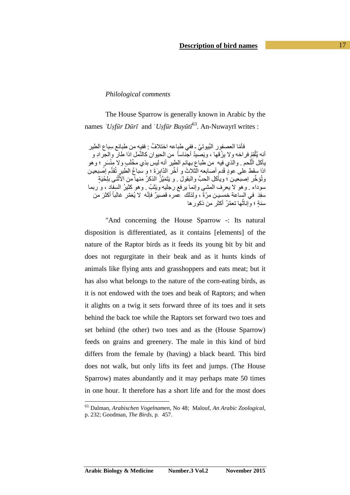# *Philological comments*

The House Sparrow is generally known in Arabic by the names *ʿUṣfūr Dūrī* and ʿ*Uṣfūr Buyūtī* <sup>63</sup>. An-Nuwayrī writes :

فأمّا العصفور النُيوتيّ ـ ففي طباعه اختلافٌ : ففيه من طبائع سباع الطير أنه يُلْقِمُ فراخه ولا يزُقها ، ويَصيدُ أجّناساً من الحيوان كالنَّمل إذا طار والجرادِ و ياكل الْلَحم . والذي فِيه ٍ من طباع بـهائم الطِير أنـه ليسِ بذي مخْلَبٍ ولا مِنْسَرٍ ؛ وهو اذا سقط على عودٍ قَدم أصابعه الثلاثَ و أخَّر الدَّابِرَةَ ؛ و سباعُ الطيرِ تُقدِّم اصبعين وتُؤخِّر إصبعين ؛ ويأكل الحبَّ والبقولَ . و يَتَمَيَّزُ الذكرُ منها من الأُثْنى بلِحْيَةٍ ا<br>ا سوداء . وهو لا يعرِف المشي وإنما يرفع رجليه ويَثْبُ . وهو كثيرُ السِفِاد ، و ربما ِ سفِدَ في الساعة خمُسين مرّةً ، ولذلك عمره قصيرٌ فإنّه لا يُعَمّر غالباً أكثرَ من ً سنةٍ ؛ وإناثـها نـعمَّرُ أكثر من ذكور ها ُ

"And concerning the House Sparrow -: Its natural disposition is differentiated, as it contains [elements] of the nature of the Raptor birds as it feeds its young bit by bit and does not regurgitate in their beak and as it hunts kinds of animals like flying ants and grasshoppers and eats meat; but it has also what belongs to the nature of the corn-eating birds, as it is not endowed with the toes and beak of Raptors; and when it alights on a twig it sets forward three of its toes and it sets behind the back toe while the Raptors set forward two toes and set behind (the other) two toes and as the (House Sparrow) feeds on grains and greenery. The male in this kind of bird differs from the female by (having) a black beard. This bird does not walk, but only lifts its feet and jumps. (The House Sparrow) mates abundantly and it may perhaps mate 50 times in one hour. It therefore has a short life and for the most does

<sup>63.</sup> Dalman, *Arabischen Vogelnamen,* No 48; Malouf, *An Arabic Zoological*, p. 232; Goodman, *The Birds,* p. 457.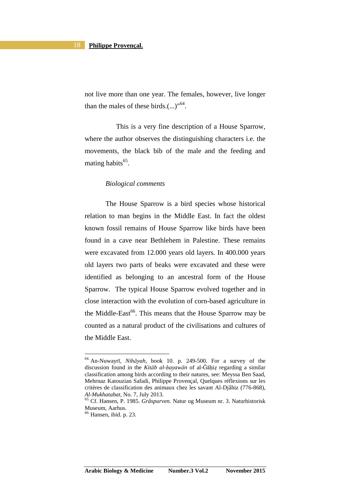not live more than one year. The females, however, live longer than the males of these birds. $(...)^{164}$ .

 This is a very fine description of a House Sparrow, where the author observes the distinguishing characters i.e. the movements, the black bib of the male and the feeding and mating habits<sup>65</sup>.

### *Biological comments*

The House Sparrow is a bird species whose historical relation to man begins in the Middle East. In fact the oldest known fossil remains of House Sparrow like birds have been found in a cave near Bethlehem in Palestine. These remains were excavated from 12.000 years old layers. In 400.000 years old layers two parts of beaks were excavated and these were identified as belonging to an ancestral form of the House Sparrow. The typical House Sparrow evolved together and in close interaction with the evolution of corn-based agriculture in the Middle-East<sup>66</sup>. This means that the House Sparrow may be counted as a natural product of the civilisations and cultures of the Middle East.

<sup>64.</sup> An-Nuwayrī, *Nihāyah,* book 10. p. 249-500. For a survey of the discussion found in the *Kitāb al-ḥayawān* of al-Ğāḥiẓ regarding a similar classification among birds according to their natures, see: Meyssa Ben Saad, Mehrnaz Katouzian Safadi, Philippe Provençal, Quelques réflexions sur les critères de classification des animaux chez les savant Al-Djâhiz (776-868), *Al-Mukhatabat,* No. 7, July 2013.

<sup>65.</sup> Cf. Hansen, P. 1985. *Gråspurven.* Natur og Museum nr. 3. Naturhistorisk Museum, Aarhus.

<sup>66.</sup> Hansen, ibid. p. 23.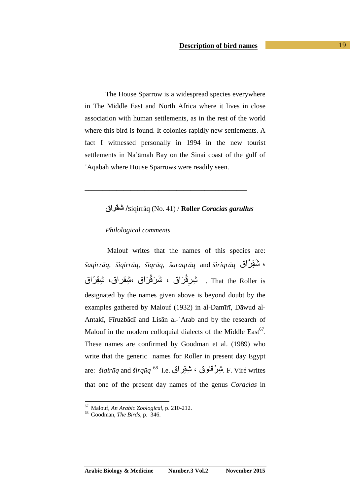The House Sparrow is a widespread species everywhere in The Middle East and North Africa where it lives in close association with human settlements, as in the rest of the world where this bird is found. It colonies rapidly new settlements. A fact I witnessed personally in 1994 in the new tourist settlements in Naʿāmah Bay on the Sinai coast of the gulf of

# **اق"# /**siqirrāq (No. 41) / **Roller** *Coracias garullus*

ʿAqabah where House Sparrows were readily seen.

\_\_\_\_\_\_\_\_\_\_\_\_\_\_\_\_\_\_\_\_\_\_\_\_\_\_\_\_\_\_\_\_\_\_\_\_\_\_\_\_\_\_\_\_\_\_

## *Philological comments*

 Malouf writes that the names of this species are: *šaqirrāq, šiqirrāq, šiqrāq, šaraqrāq* and *širiqrāq* اقَّ ِ-kَ ، That the Roller is . تْسِرِقْرَاق ، تْمَرَقْرَاق ،تْبِقراق، تْبِقِرّاق designated by the names given above is beyond doubt by the examples gathered by Malouf (1932) in al-Damīrī, Dāwud al-Antakī, Fīruzbādī and Lisān al-ʿArab and by the research of Malouf in the modern colloquial dialects of the Middle East<sup>67</sup>. These names are confirmed by Goodman et al. (1989) who write that the generic names for Roller in present day Egypt are: *šiqirāq* and *širqūq* <sup>68</sup> i.e. سِنْبِقِرْ اق F. Viré writes that one of the present day names of the genus *Coracias* in

<sup>67.</sup> Malouf, *An Arabic Zoological*, p. 210-212.

<sup>68.</sup> Goodman, *The Birds,* p. 346.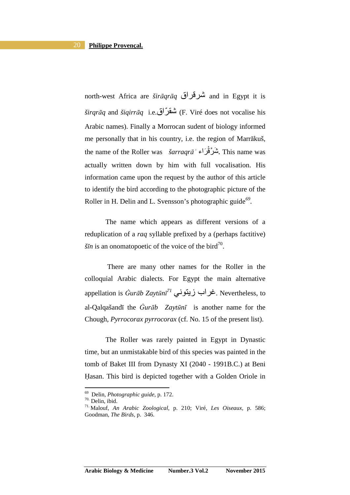north-west Africa are *širāqrāq* اق)k and in Egypt it is *širqrāq* and *šiqirrāq* i.e.<sup>2</sup>) شقر (F. Viré does not vocalise his Arabic names). Finally a Morrocan sudent of biology informed me personally that in his country, i.e. the region of Marrākuš, the name of the Roller was  *šarraqrāʾ نَمْرَ*قْرَاء . This name was actually written down by him with full vocalisation. His information came upon the request by the author of this article to identify the bird according to the photographic picture of the Roller in H. Delin and L. Svensson's photographic guide<sup>69</sup>.

The name which appears as different versions of a reduplication of a *raq* syllable prefixed by a (perhaps factitive)  $\delta \bar{m}$  is an onomatopoetic of the voice of the bird<sup>70</sup>.

 There are many other names for the Roller in the colloquial Arabic dialects. For Egypt the main alternative appellation is *Ġurāb Zaytūnī<sup>71</sup> ي*خراب زيتوني. Nevertheless, to al-Qalqašandī the *Ġurāb Zaytūnī* is another name for the Chough, *Pyrrocorax pyrrocorax* (cf. No. 15 of the present list).

The Roller was rarely painted in Egypt in Dynastic time, but an unmistakable bird of this species was painted in the tomb of Baket III from Dynasty XI (2040 - 1991B.C.) at Beni Ḥasan. This bird is depicted together with a Golden Oriole in

<sup>69</sup> Delin, *Photographic guide*, p. 172.

<sup>70.</sup> Delin, ibid.

<sup>71.</sup> Malouf, *An Arabic Zoological*, p. 210; Viré, *Les Oiseaux,* p. 586; Goodman, *The Birds,* p. 346.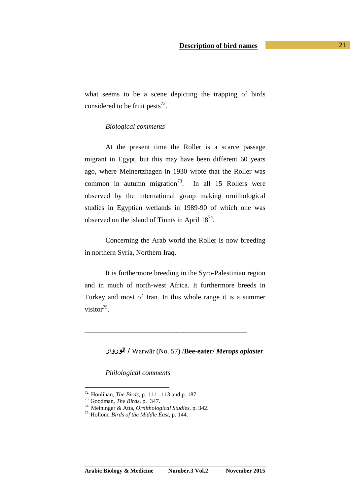what seems to be a scene depicting the trapping of birds considered to be fruit pests<sup>72</sup>.

# *Biological comments*

At the present time the Roller is a scarce passage migrant in Egypt, but this may have been different 60 years ago, where Meinertzhagen in 1930 wrote that the Roller was common in autumn migration<sup>73</sup>. In all 15 Rollers were observed by the international group making ornithological studies in Egyptian wetlands in 1989-90 of which one was observed on the island of Tinnīs in April  $18^{74}$ .

Concerning the Arab world the Roller is now breeding in northern Syria, Northern Iraq.

It is furthermore breeding in the Syro-Palestinian region and in much of north-west Africa. It furthermore breeds in Turkey and most of Iran. In this whole range it is a summer visitor $^{75}$ .

\_\_\_\_\_\_\_\_\_\_\_\_\_\_\_\_\_\_\_\_\_\_\_\_\_\_\_\_\_\_\_\_\_\_\_\_\_\_\_\_\_\_\_\_\_\_

**روارا /** Warwār (No. 57) /**Bee-eater/** *Merops apiaster*

*Philological comments*

<sup>72.</sup> Houlihan, *The Birds,* p. 111 - 113 and p. 187.

<sup>73.</sup> Goodman, *The Birds,* p. 347.

<sup>74.</sup> Meininger & Atta, *Ornithological Studies*, p. 342.

<sup>75.</sup> Hollom, *Birds of the Middle East,* p. 144.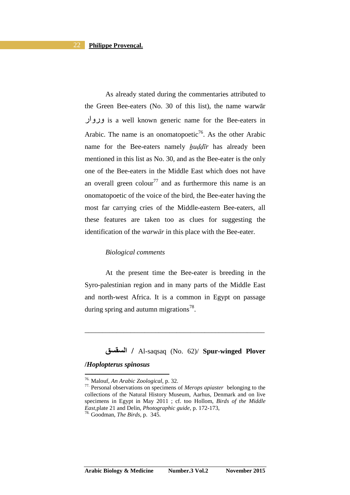As already stated during the commentaries attributed to the Green Bee-eaters (No. 30 of this list), the name warwār وروار is a well known generic name for the Bee-eaters in Arabic. The name is an onomatopoetic<sup>76</sup>. As the other Arabic name for the Bee-eaters namely *huddir* has already been mentioned in this list as No. 30, and as the Bee-eater is the only one of the Bee-eaters in the Middle East which does not have an overall green colour<sup>77</sup> and as furthermore this name is an onomatopoetic of the voice of the bird, the Bee-eater having the most far carrying cries of the Middle-eastern Bee-eaters, all these features are taken too as clues for suggesting the identification of the *warwār* in this place with the Bee-eater.

#### *Biological comments*

At the present time the Bee-eater is breeding in the Syro-palestinian region and in many parts of the Middle East and north-west Africa. It is a common in Egypt on passage during spring and autumn migrations<sup>78</sup>.

\_\_\_\_\_\_\_\_\_\_\_\_\_\_\_\_\_\_\_\_\_\_\_\_\_\_\_\_\_\_\_\_\_\_\_\_\_\_\_\_\_\_\_\_\_\_\_\_\_\_\_

# **\$"\$ا /** Al-saqsaq (No. 62)/ **Spur-winged Plover /***Hoplopterus spinosus*

<sup>76.</sup> Malouf, *An Arabic Zoological*, p. 32.

<sup>77.</sup> Personal observations on specimens of *Merops apiaster* belonging to the collections of the Natural History Museum, Aarhus, Denmark and on live specimens in Egypt in May 2011 ; cf. too Hollom, *Birds of the Middle East,*plate 21 and Delin, *Photographic guide*, p. 172-173,

<sup>78.</sup> Goodman, *The Birds,* p. 345.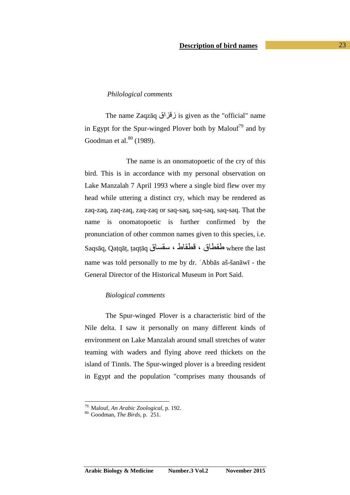# *Philological comments*

The name Zaqzāq زقزاق is given as the "official" name in Egypt for the Spur-winged Plover both by Malouf<sup>79</sup> and by Goodman et al. $80$  (1989).

 The name is an onomatopoetic of the cry of this bird. This is in accordance with my personal observation on Lake Manzalah 7 April 1993 where a single bird flew over my head while uttering a distinct cry, which may be rendered as zaq-zaq, zaq-zaq, zaq-zaq or saq-saq, saq-saq, saq-saq. That the name is onomatopoetic is further confirmed by the pronunciation of other common names given to this species, i.e. Saqsāq, Qaṭqāṭ, ṭaqṭāq مفطاق ، فطقاط ، سقساق Saqsāq, Qaṭqāṭ, ṭaqṭāq name was told personally to me by dr. ʿAbbās aš-šanāwī - the General Director of the Historical Museum in Port Said.

### *Biological comments*

The Spur-winged Plover is a characteristic bird of the Nile delta. I saw it personally on many different kinds of environment on Lake Manzalah around small stretches of water teaming with waders and flying above reed thickets on the island of Tinnīs. The Spur-winged plover is a breeding resident in Egypt and the population "comprises many thousands of

<sup>79.</sup> Malouf, *An Arabic Zoological*, p. 192.

<sup>80.</sup> Goodman, *The Birds,* p. 251.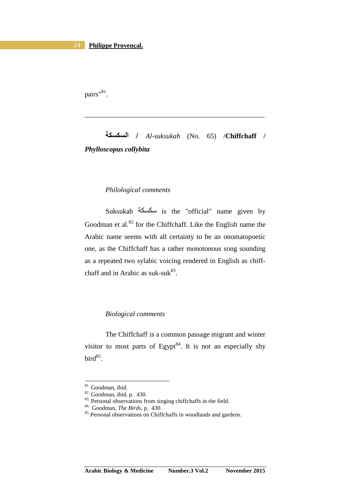pairs"<sup>81</sup>.

**%\$%\$ا /** *Al-suksukah* (No. 65) /**Chiffchaff /** *Phylloscopus collybita*

\_\_\_\_\_\_\_\_\_\_\_\_\_\_\_\_\_\_\_\_\_\_\_\_\_\_\_\_\_\_\_\_\_\_\_\_\_\_\_\_\_\_\_\_\_\_\_\_\_\_\_

# *Philological comments*

Suksukah =G=س is the "official" name given by Goodman et al. $82$  for the Chiffchaff. Like the English name the Arabic name seems with all certainty to be an onomatopoetic one, as the Chiffchaff has a rather monotonous song sounding as a repeated two sylabic voicing rendered in English as chiffchaff and in Arabic as suk-suk $^{83}$ .

### *Biological comments*

The Chiffchaff is a common passage migrant and winter visitor to most parts of Egypt $84$ . It is not an especially shy  $bird^{85}$ .

<sup>81.</sup> Goodman, ibid.

<sup>82.</sup> Goodman, ibid*.* p. 430.

<sup>&</sup>lt;sup>83.</sup> Personal observations from singing chiffchaffs in the field.

<sup>84.</sup> Goodman, *The Birds,* p. 430.

<sup>&</sup>lt;sup>85.</sup> Personal observations on Chiffchaffs in woodlands and gardens.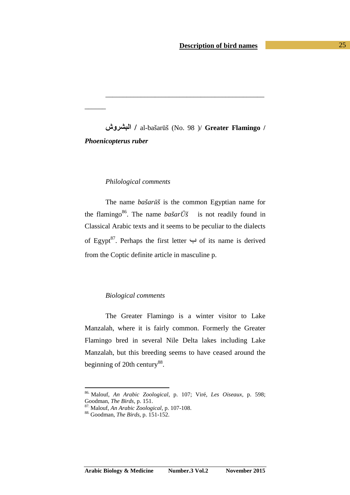**وش)'ا /** al-bašarūš (No. 98 )/ **Greater Flamingo /**  *Phoenicopterus ruber* 

\_\_\_\_\_\_\_\_\_\_\_\_\_\_\_\_\_\_\_\_\_\_\_\_\_\_\_\_\_\_\_\_\_\_\_\_\_\_\_\_\_\_\_\_\_

### *Philological comments*

 $\overline{\phantom{a}}$ 

The name *bašarūš* is the common Egyptian name for the flamingo<sup>86</sup>. The name *bašar* $\bar{U}$ *š* is not readily found in Classical Arabic texts and it seems to be peculiar to the dialects of Egypt<sup>87</sup>. Perhaps the first letter  $\hookrightarrow$  of its name is derived from the Coptic definite article in masculine p.

### *Biological comments*

The Greater Flamingo is a winter visitor to Lake Manzalah, where it is fairly common. Formerly the Greater Flamingo bred in several Nile Delta lakes including Lake Manzalah, but this breeding seems to have ceased around the beginning of 20th century<sup>88</sup>.

<sup>86.</sup> Malouf, *An Arabic Zoological*, p. 107; Viré, *Les Oiseaux,* p. 598; Goodman, *The Birds,* p. 151.

<sup>87.</sup> Malouf, *An Arabic Zoological*, p. 107-108.

<sup>88.</sup> Goodman, *The Birds,* p. 151-152.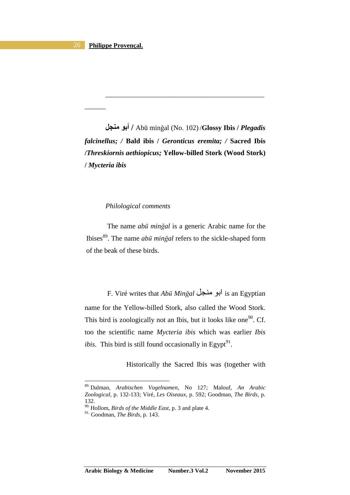$\overline{\phantom{a}}$ 

**)\* أ /** Abū minğal (No. 102) /**Glossy Ibis /** *Plegadis falcinellus; /* **Bald ibis /** *Geronticus eremita; /* **Sacred Ibis /***Threskiornis aethiopicus;* **Yellow-billed Stork (Wood Stork) /** *Mycteria ibis* 

\_\_\_\_\_\_\_\_\_\_\_\_\_\_\_\_\_\_\_\_\_\_\_\_\_\_\_\_\_\_\_\_\_\_\_\_\_\_\_\_\_\_\_\_\_

# *Philological comments*

The name *abū minğal* is a generic Arabic name for the Ibises<sup>89</sup>. The name *abū minğal* refers to the sickle-shaped form of the beak of these birds.

 F. Viré writes that *Abū Minğal* 5IT )ا is an Egyptian name for the Yellow-billed Stork, also called the Wood Stork. This bird is zoologically not an Ibis, but it looks like one<sup>90</sup>. Cf. too the scientific name *Mycteria ibis* which was earlier *Ibis ibis.* This bird is still found occasionally in Egypt $^{91}$ .

Historically the Sacred Ibis was (together with

 $\overline{a}$ 

**Arabic Biology & Medicine Number.3 Vol.2 November 2015** 

<sup>89.</sup> Dalman, *Arabischen Vogelnamen,* No 127; Malouf, *An Arabic Zoological*, p. 132-133; Viré, *Les Oiseaux,* p. 592; Goodman, *The Birds,* p. 132.

<sup>90.</sup> Hollom, *Birds of the Middle East,* p. 3 and plate 4.

<sup>91.</sup> Goodman, *The Birds,* p. 143.